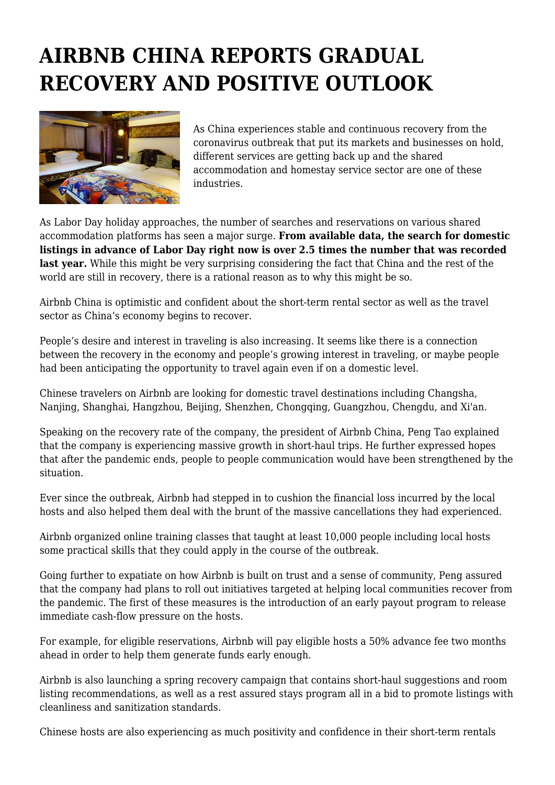## **AIRBNB CHINA REPORTS GRADUAL RECOVERY AND POSITIVE OUTLOOK**



As China experiences stable and continuous recovery from the coronavirus outbreak that put its markets and businesses on hold, different services are getting back up and the shared accommodation and homestay service sector are one of these industries.

As Labor Day holiday approaches, the number of searches and reservations on various shared accommodation platforms has seen a major surge. **From available data, the search for domestic listings in advance of Labor Day right now is over 2.5 times the number that was recorded last year.** While this might be very surprising considering the fact that China and the rest of the world are still in recovery, there is a rational reason as to why this might be so.

Airbnb China is optimistic and confident about the short-term rental sector as well as the travel sector as China's economy begins to recover.

People's desire and interest in traveling is also increasing. It seems like there is a connection between the recovery in the economy and people's growing interest in traveling, or maybe people had been anticipating the opportunity to travel again even if on a domestic level.

Chinese travelers on Airbnb are looking for domestic travel destinations including Changsha, Nanjing, Shanghai, Hangzhou, Beijing, Shenzhen, Chongqing, Guangzhou, Chengdu, and Xi'an.

Speaking on the recovery rate of the company, the president of Airbnb China, Peng Tao explained that the company is experiencing massive growth in short-haul trips. He further expressed hopes that after the pandemic ends, people to people communication would have been strengthened by the situation.

Ever since the outbreak, Airbnb had stepped in to cushion the financial loss incurred by the local hosts and also helped them deal with the brunt of the massive cancellations they had experienced.

Airbnb organized online training classes that taught at least 10,000 people including local hosts some practical skills that they could apply in the course of the outbreak.

Going further to expatiate on how Airbnb is built on trust and a sense of community, Peng assured that the company had plans to roll out initiatives targeted at helping local communities recover from the pandemic. The first of these measures is the introduction of an early payout program to release immediate cash-flow pressure on the hosts.

For example, for eligible reservations, Airbnb will pay eligible hosts a 50% advance fee two months ahead in order to help them generate funds early enough.

Airbnb is also launching a spring recovery campaign that contains short-haul suggestions and room listing recommendations, as well as a rest assured stays program all in a bid to promote listings with cleanliness and sanitization standards.

Chinese hosts are also experiencing as much positivity and confidence in their short-term rentals